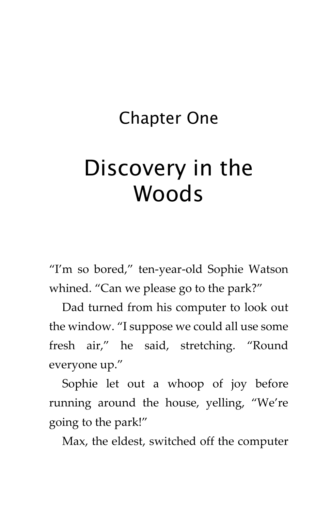## Chapter One

## Discovery in the Woods

"I'm so bored," ten-year-old Sophie Watson whined. "Can we please go to the park?"

Dad turned from his computer to look out the window. "I suppose we could all use some fresh air," he said, stretching. "Round everyone up."

Sophie let out a whoop of joy before running around the house, yelling, "We're going to the park!"

Max, the eldest, switched off the computer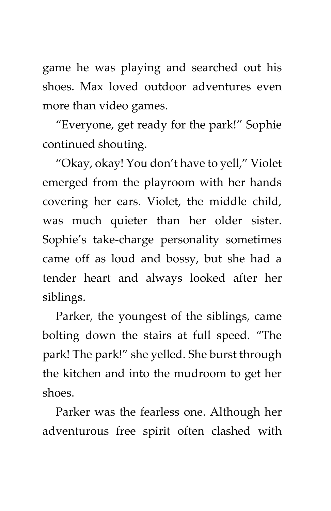game he was playing and searched out his shoes. Max loved outdoor adventures even more than video games.

"Everyone, get ready for the park!" Sophie continued shouting.

"Okay, okay! You don't have to yell," Violet emerged from the playroom with her hands covering her ears. Violet, the middle child, was much quieter than her older sister. Sophie's take-charge personality sometimes came off as loud and bossy, but she had a tender heart and always looked after her siblings.

Parker, the youngest of the siblings, came bolting down the stairs at full speed. "The park! The park!" she yelled. She burst through the kitchen and into the mudroom to get her shoes.

Parker was the fearless one. Although her adventurous free spirit often clashed with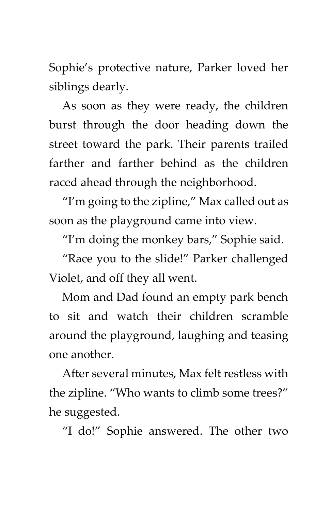Sophie's protective nature, Parker loved her siblings dearly.

As soon as they were ready, the children burst through the door heading down the street toward the park. Their parents trailed farther and farther behind as the children raced ahead through the neighborhood.

"I'm going to the zipline," Max called out as soon as the playground came into view.

"I'm doing the monkey bars," Sophie said.

"Race you to the slide!" Parker challenged Violet, and off they all went.

Mom and Dad found an empty park bench to sit and watch their children scramble around the playground, laughing and teasing one another.

After several minutes, Max felt restless with the zipline. "Who wants to climb some trees?" he suggested.

"I do!" Sophie answered. The other two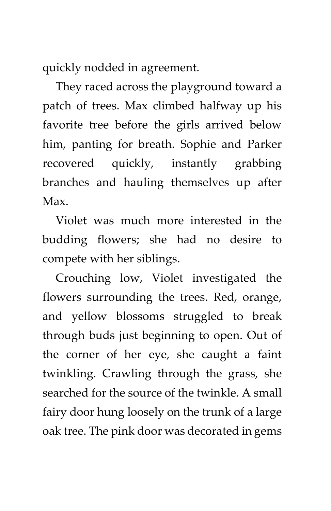quickly nodded in agreement.

They raced across the playground toward a patch of trees. Max climbed halfway up his favorite tree before the girls arrived below him, panting for breath. Sophie and Parker recovered quickly, instantly grabbing branches and hauling themselves up after Max.

Violet was much more interested in the budding flowers; she had no desire to compete with her siblings.

Crouching low, Violet investigated the flowers surrounding the trees. Red, orange, and yellow blossoms struggled to break through buds just beginning to open. Out of the corner of her eye, she caught a faint twinkling. Crawling through the grass, she searched for the source of the twinkle. A small fairy door hung loosely on the trunk of a large oak tree. The pink door was decorated in gems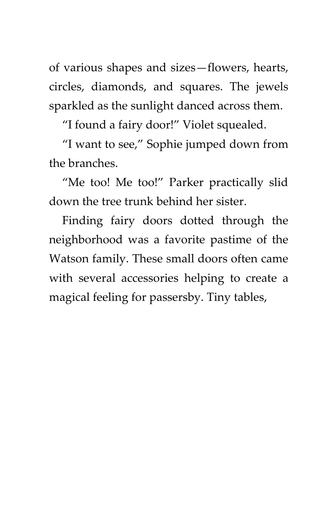of various shapes and sizes—flowers, hearts, circles, diamonds, and squares. The jewels sparkled as the sunlight danced across them.

"I found a fairy door!" Violet squealed.

"I want to see," Sophie jumped down from the branches.

"Me too! Me too!" Parker practically slid down the tree trunk behind her sister.

Finding fairy doors dotted through the neighborhood was a favorite pastime of the Watson family. These small doors often came with several accessories helping to create a magical feeling for passersby. Tiny tables,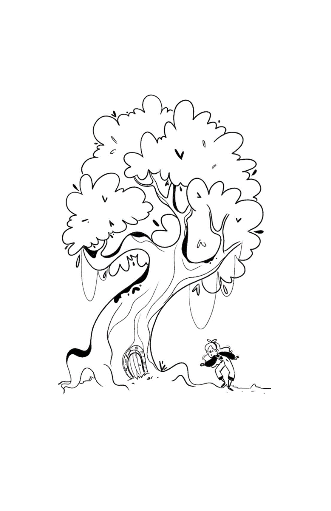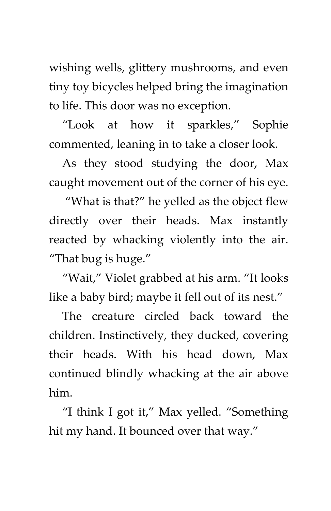wishing wells, glittery mushrooms, and even tiny toy bicycles helped bring the imagination to life. This door was no exception.

"Look at how it sparkles," Sophie commented, leaning in to take a closer look.

As they stood studying the door, Max caught movement out of the corner of his eye.

"What is that?" he yelled as the object flew directly over their heads. Max instantly reacted by whacking violently into the air. "That bug is huge."

"Wait," Violet grabbed at his arm. "It looks like a baby bird; maybe it fell out of its nest."

The creature circled back toward the children. Instinctively, they ducked, covering their heads. With his head down, Max continued blindly whacking at the air above him.

"I think I got it," Max yelled. "Something hit my hand. It bounced over that way."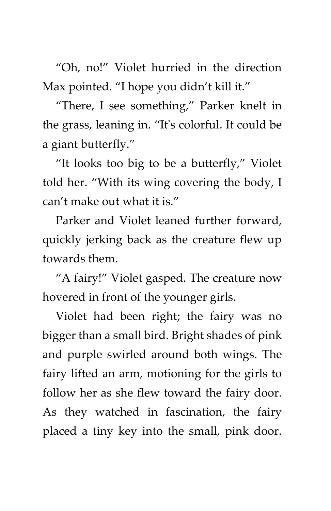"Oh, no!" Violet hurried in the direction Max pointed. "I hope you didn't kill it."

"There, I see something," Parker knelt in the grass, leaning in. "It's colorful. It could be a giant butterfly."

"It looks too big to be a butterfly," Violet told her. "With its wing covering the body, I can't make out what it is."

Parker and Violet leaned further forward, quickly jerking back as the creature flew up towards them.

"A fairy!" Violet gasped. The creature now hovered in front of the younger girls.

Violet had been right; the fairy was no bigger than a small bird. Bright shades of pink and purple swirled around both wings. The fairy lifted an arm, motioning for the girls to follow her as she flew toward the fairy door. As they watched in fascination, the fairy placed a tiny key into the small, pink door.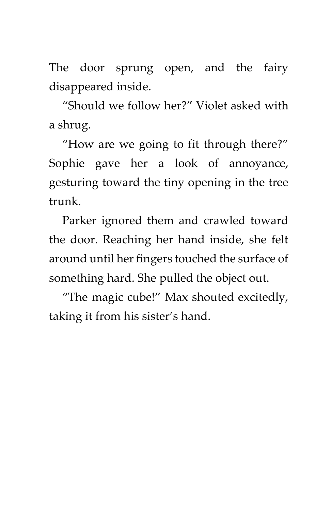The door sprung open, and the fairy disappeared inside.

"Should we follow her?" Violet asked with a shrug.

"How are we going to fit through there?" Sophie gave her a look of annoyance, gesturing toward the tiny opening in the tree trunk.

Parker ignored them and crawled toward the door. Reaching her hand inside, she felt around until her fingers touched the surface of something hard. She pulled the object out.

"The magic cube!" Max shouted excitedly, taking it from his sister's hand.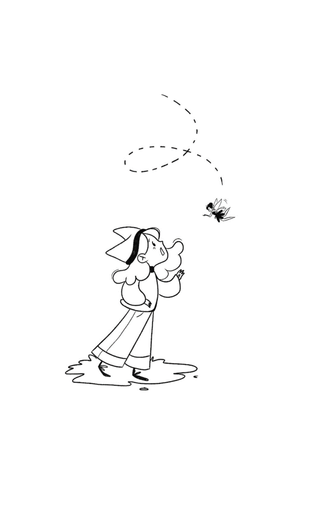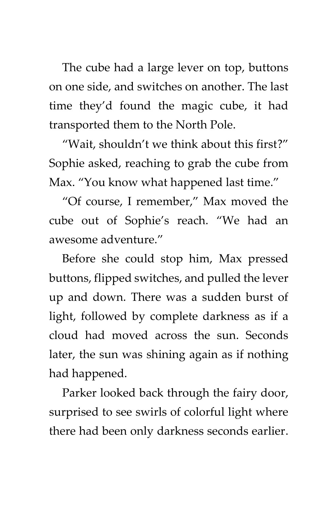The cube had a large lever on top, buttons on one side, and switches on another. The last time they'd found the magic cube, it had transported them to the North Pole.

"Wait, shouldn't we think about this first?" Sophie asked, reaching to grab the cube from Max. "You know what happened last time."

"Of course, I remember," Max moved the cube out of Sophie's reach. "We had an awesome adventure."

Before she could stop him, Max pressed buttons, flipped switches, and pulled the lever up and down. There was a sudden burst of light, followed by complete darkness as if a cloud had moved across the sun. Seconds later, the sun was shining again as if nothing had happened.

Parker looked back through the fairy door, surprised to see swirls of colorful light where there had been only darkness seconds earlier.